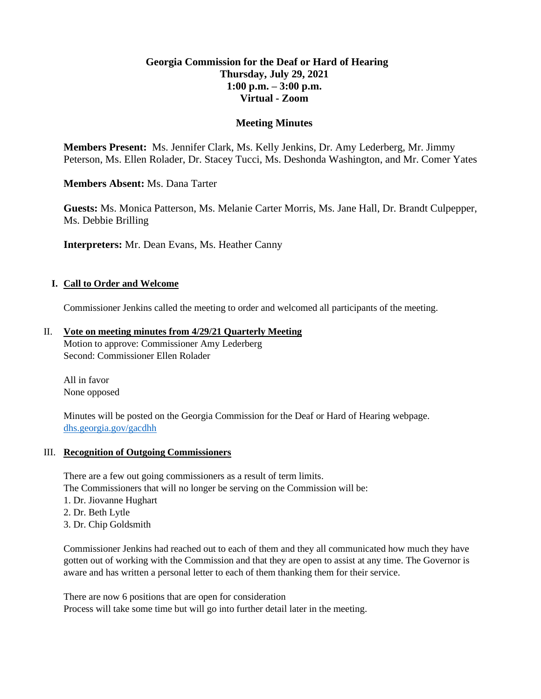# **Georgia Commission for the Deaf or Hard of Hearing Thursday, July 29, 2021 1:00 p.m. – 3:00 p.m. Virtual - Zoom**

### **Meeting Minutes**

**Members Present:** Ms. Jennifer Clark, Ms. Kelly Jenkins, Dr. Amy Lederberg, Mr. Jimmy Peterson, Ms. Ellen Rolader, Dr. Stacey Tucci, Ms. Deshonda Washington, and Mr. Comer Yates

**Members Absent:** Ms. Dana Tarter

**Guests:** Ms. Monica Patterson, Ms. Melanie Carter Morris, Ms. Jane Hall, Dr. Brandt Culpepper, Ms. Debbie Brilling

**Interpreters:** Mr. Dean Evans, Ms. Heather Canny

### **I. Call to Order and Welcome**

Commissioner Jenkins called the meeting to order and welcomed all participants of the meeting.

### II. **Vote on meeting minutes from 4/29/21 Quarterly Meeting**

Motion to approve: Commissioner Amy Lederberg Second: Commissioner Ellen Rolader

All in favor None opposed

Minutes will be posted on the Georgia Commission for the Deaf or Hard of Hearing webpage. [dhs.georgia.gov/gacdhh](https://dhs.georgia.gov/organization/about/language-access/georgia-commission-deaf-or-hard-hearing-gcdhh)

#### III. **Recognition of Outgoing Commissioners**

There are a few out going commissioners as a result of term limits. The Commissioners that will no longer be serving on the Commission will be:

- 1. Dr. Jiovanne Hughart
- 2. Dr. Beth Lytle
- 3. Dr. Chip Goldsmith

Commissioner Jenkins had reached out to each of them and they all communicated how much they have gotten out of working with the Commission and that they are open to assist at any time. The Governor is aware and has written a personal letter to each of them thanking them for their service.

There are now 6 positions that are open for consideration Process will take some time but will go into further detail later in the meeting.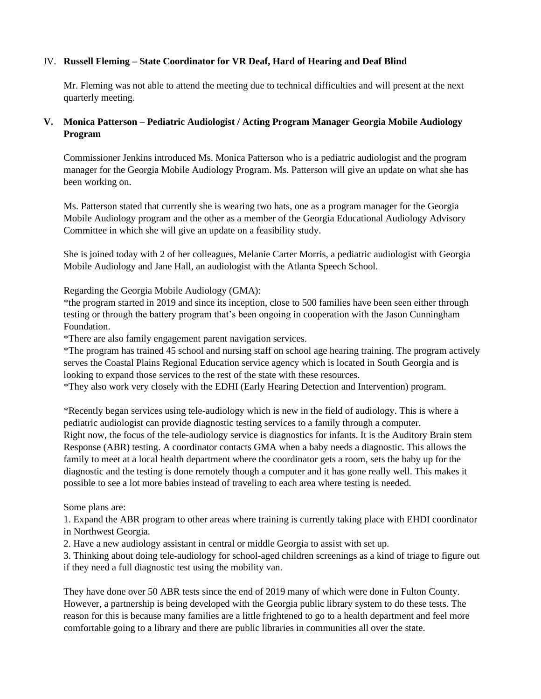### IV. **Russell Fleming – State Coordinator for VR Deaf, Hard of Hearing and Deaf Blind**

Mr. Fleming was not able to attend the meeting due to technical difficulties and will present at the next quarterly meeting.

# **V. Monica Patterson – Pediatric Audiologist / Acting Program Manager Georgia Mobile Audiology Program**

Commissioner Jenkins introduced Ms. Monica Patterson who is a pediatric audiologist and the program manager for the Georgia Mobile Audiology Program. Ms. Patterson will give an update on what she has been working on.

Ms. Patterson stated that currently she is wearing two hats, one as a program manager for the Georgia Mobile Audiology program and the other as a member of the Georgia Educational Audiology Advisory Committee in which she will give an update on a feasibility study.

She is joined today with 2 of her colleagues, Melanie Carter Morris, a pediatric audiologist with Georgia Mobile Audiology and Jane Hall, an audiologist with the Atlanta Speech School.

Regarding the Georgia Mobile Audiology (GMA):

\*the program started in 2019 and since its inception, close to 500 families have been seen either through testing or through the battery program that's been ongoing in cooperation with the Jason Cunningham Foundation.

\*There are also family engagement parent navigation services.

\*The program has trained 45 school and nursing staff on school age hearing training. The program actively serves the Coastal Plains Regional Education service agency which is located in South Georgia and is looking to expand those services to the rest of the state with these resources.

\*They also work very closely with the EDHI (Early Hearing Detection and Intervention) program.

\*Recently began services using tele-audiology which is new in the field of audiology. This is where a pediatric audiologist can provide diagnostic testing services to a family through a computer. Right now, the focus of the tele-audiology service is diagnostics for infants. It is the Auditory Brain stem Response (ABR) testing. A coordinator contacts GMA when a baby needs a diagnostic. This allows the family to meet at a local health department where the coordinator gets a room, sets the baby up for the diagnostic and the testing is done remotely though a computer and it has gone really well. This makes it possible to see a lot more babies instead of traveling to each area where testing is needed.

### Some plans are:

1. Expand the ABR program to other areas where training is currently taking place with EHDI coordinator in Northwest Georgia.

2. Have a new audiology assistant in central or middle Georgia to assist with set up.

3. Thinking about doing tele-audiology for school-aged children screenings as a kind of triage to figure out if they need a full diagnostic test using the mobility van.

They have done over 50 ABR tests since the end of 2019 many of which were done in Fulton County. However, a partnership is being developed with the Georgia public library system to do these tests. The reason for this is because many families are a little frightened to go to a health department and feel more comfortable going to a library and there are public libraries in communities all over the state.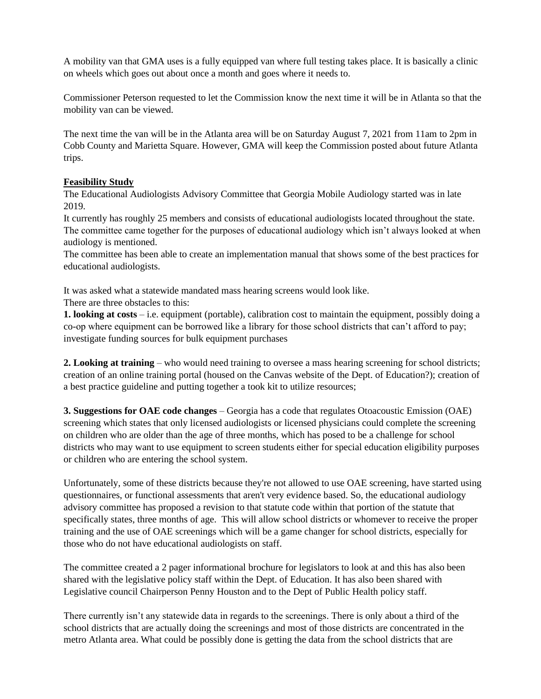A mobility van that GMA uses is a fully equipped van where full testing takes place. It is basically a clinic on wheels which goes out about once a month and goes where it needs to.

Commissioner Peterson requested to let the Commission know the next time it will be in Atlanta so that the mobility van can be viewed.

The next time the van will be in the Atlanta area will be on Saturday August 7, 2021 from 11am to 2pm in Cobb County and Marietta Square. However, GMA will keep the Commission posted about future Atlanta trips.

# **Feasibility Study**

The Educational Audiologists Advisory Committee that Georgia Mobile Audiology started was in late 2019.

It currently has roughly 25 members and consists of educational audiologists located throughout the state. The committee came together for the purposes of educational audiology which isn't always looked at when audiology is mentioned.

The committee has been able to create an implementation manual that shows some of the best practices for educational audiologists.

It was asked what a statewide mandated mass hearing screens would look like.

There are three obstacles to this:

**1. looking at costs** – i.e. equipment (portable), calibration cost to maintain the equipment, possibly doing a co-op where equipment can be borrowed like a library for those school districts that can't afford to pay; investigate funding sources for bulk equipment purchases

**2. Looking at training** – who would need training to oversee a mass hearing screening for school districts; creation of an online training portal (housed on the Canvas website of the Dept. of Education?); creation of a best practice guideline and putting together a took kit to utilize resources;

**3. Suggestions for OAE code changes** – Georgia has a code that regulates Otoacoustic Emission (OAE) screening which states that only licensed audiologists or licensed physicians could complete the screening on children who are older than the age of three months, which has posed to be a challenge for school districts who may want to use equipment to screen students either for special education eligibility purposes or children who are entering the school system.

Unfortunately, some of these districts because they're not allowed to use OAE screening, have started using questionnaires, or functional assessments that aren't very evidence based. So, the educational audiology advisory committee has proposed a revision to that statute code within that portion of the statute that specifically states, three months of age. This will allow school districts or whomever to receive the proper training and the use of OAE screenings which will be a game changer for school districts, especially for those who do not have educational audiologists on staff.

The committee created a 2 pager informational brochure for legislators to look at and this has also been shared with the legislative policy staff within the Dept. of Education. It has also been shared with Legislative council Chairperson Penny Houston and to the Dept of Public Health policy staff.

There currently isn't any statewide data in regards to the screenings. There is only about a third of the school districts that are actually doing the screenings and most of those districts are concentrated in the metro Atlanta area. What could be possibly done is getting the data from the school districts that are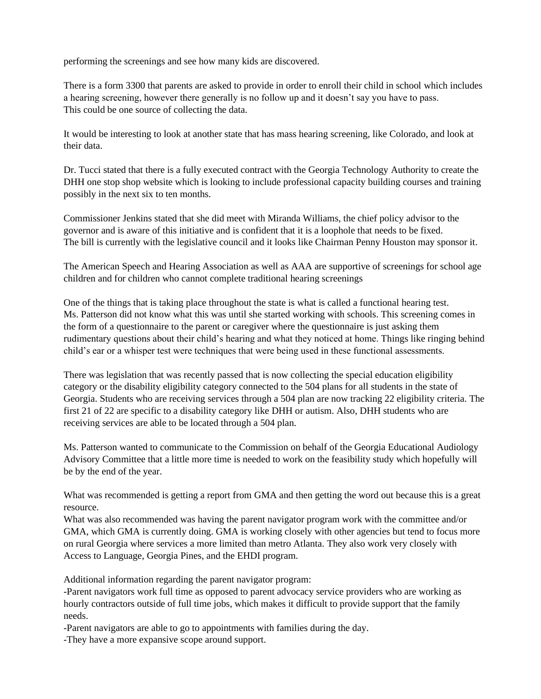performing the screenings and see how many kids are discovered.

There is a form 3300 that parents are asked to provide in order to enroll their child in school which includes a hearing screening, however there generally is no follow up and it doesn't say you have to pass. This could be one source of collecting the data.

It would be interesting to look at another state that has mass hearing screening, like Colorado, and look at their data.

Dr. Tucci stated that there is a fully executed contract with the Georgia Technology Authority to create the DHH one stop shop website which is looking to include professional capacity building courses and training possibly in the next six to ten months.

Commissioner Jenkins stated that she did meet with Miranda Williams, the chief policy advisor to the governor and is aware of this initiative and is confident that it is a loophole that needs to be fixed. The bill is currently with the legislative council and it looks like Chairman Penny Houston may sponsor it.

The American Speech and Hearing Association as well as AAA are supportive of screenings for school age children and for children who cannot complete traditional hearing screenings

One of the things that is taking place throughout the state is what is called a functional hearing test. Ms. Patterson did not know what this was until she started working with schools. This screening comes in the form of a questionnaire to the parent or caregiver where the questionnaire is just asking them rudimentary questions about their child's hearing and what they noticed at home. Things like ringing behind child's ear or a whisper test were techniques that were being used in these functional assessments.

There was legislation that was recently passed that is now collecting the special education eligibility category or the disability eligibility category connected to the 504 plans for all students in the state of Georgia. Students who are receiving services through a 504 plan are now tracking 22 eligibility criteria. The first 21 of 22 are specific to a disability category like DHH or autism. Also, DHH students who are receiving services are able to be located through a 504 plan.

Ms. Patterson wanted to communicate to the Commission on behalf of the Georgia Educational Audiology Advisory Committee that a little more time is needed to work on the feasibility study which hopefully will be by the end of the year.

What was recommended is getting a report from GMA and then getting the word out because this is a great resource.

What was also recommended was having the parent navigator program work with the committee and/or GMA, which GMA is currently doing. GMA is working closely with other agencies but tend to focus more on rural Georgia where services a more limited than metro Atlanta. They also work very closely with Access to Language, Georgia Pines, and the EHDI program.

Additional information regarding the parent navigator program:

-Parent navigators work full time as opposed to parent advocacy service providers who are working as hourly contractors outside of full time jobs, which makes it difficult to provide support that the family needs.

-Parent navigators are able to go to appointments with families during the day.

-They have a more expansive scope around support.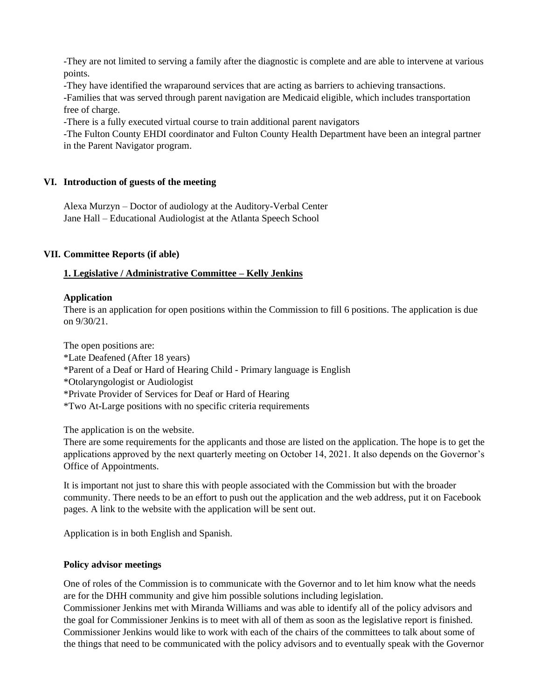-They are not limited to serving a family after the diagnostic is complete and are able to intervene at various points.

-They have identified the wraparound services that are acting as barriers to achieving transactions.

-Families that was served through parent navigation are Medicaid eligible, which includes transportation free of charge.

-There is a fully executed virtual course to train additional parent navigators

-The Fulton County EHDI coordinator and Fulton County Health Department have been an integral partner in the Parent Navigator program.

### **VI. Introduction of guests of the meeting**

Alexa Murzyn – Doctor of audiology at the Auditory-Verbal Center Jane Hall – Educational Audiologist at the Atlanta Speech School

### **VII. Committee Reports (if able)**

### **1. Legislative / Administrative Committee – Kelly Jenkins**

### **Application**

There is an application for open positions within the Commission to fill 6 positions. The application is due on 9/30/21.

The open positions are: \*Late Deafened (After 18 years) \*Parent of a Deaf or Hard of Hearing Child - Primary language is English \*Otolaryngologist or Audiologist \*Private Provider of Services for Deaf or Hard of Hearing \*Two At-Large positions with no specific criteria requirements

The application is on the website.

There are some requirements for the applicants and those are listed on the application. The hope is to get the applications approved by the next quarterly meeting on October 14, 2021. It also depends on the Governor's Office of Appointments.

It is important not just to share this with people associated with the Commission but with the broader community. There needs to be an effort to push out the application and the web address, put it on Facebook pages. A link to the website with the application will be sent out.

Application is in both English and Spanish.

### **Policy advisor meetings**

One of roles of the Commission is to communicate with the Governor and to let him know what the needs are for the DHH community and give him possible solutions including legislation.

Commissioner Jenkins met with Miranda Williams and was able to identify all of the policy advisors and the goal for Commissioner Jenkins is to meet with all of them as soon as the legislative report is finished. Commissioner Jenkins would like to work with each of the chairs of the committees to talk about some of the things that need to be communicated with the policy advisors and to eventually speak with the Governor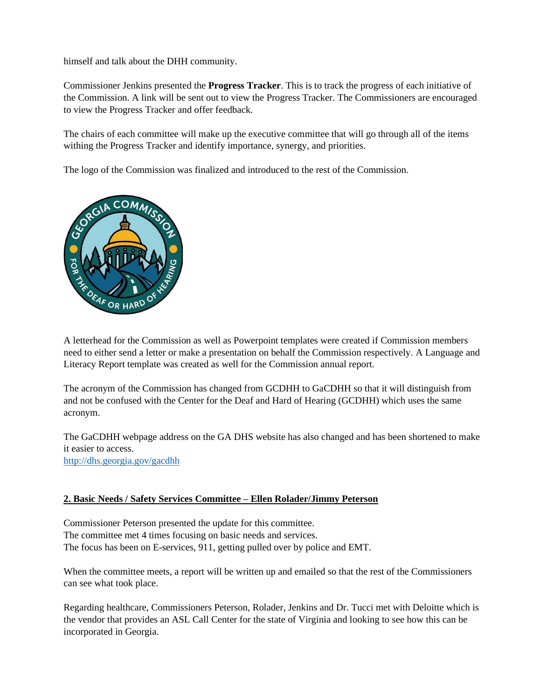himself and talk about the DHH community.

Commissioner Jenkins presented the **Progress Tracker**. This is to track the progress of each initiative of the Commission. A link will be sent out to view the Progress Tracker. The Commissioners are encouraged to view the Progress Tracker and offer feedback.

The chairs of each committee will make up the executive committee that will go through all of the items withing the Progress Tracker and identify importance, synergy, and priorities.

The logo of the Commission was finalized and introduced to the rest of the Commission.



A letterhead for the Commission as well as Powerpoint templates were created if Commission members need to either send a letter or make a presentation on behalf the Commission respectively. A Language and Literacy Report template was created as well for the Commission annual report.

The acronym of the Commission has changed from GCDHH to GaCDHH so that it will distinguish from and not be confused with the Center for the Deaf and Hard of Hearing (GCDHH) which uses the same acronym.

The GaCDHH webpage address on the GA DHS website has also changed and has been shortened to make it easier to access. <http://dhs.georgia.gov/gacdhh>

# **2. Basic Needs / Safety Services Committee – Ellen Rolader/Jimmy Peterson**

Commissioner Peterson presented the update for this committee. The committee met 4 times focusing on basic needs and services. The focus has been on E-services, 911, getting pulled over by police and EMT.

When the committee meets, a report will be written up and emailed so that the rest of the Commissioners can see what took place.

Regarding healthcare, Commissioners Peterson, Rolader, Jenkins and Dr. Tucci met with Deloitte which is the vendor that provides an ASL Call Center for the state of Virginia and looking to see how this can be incorporated in Georgia.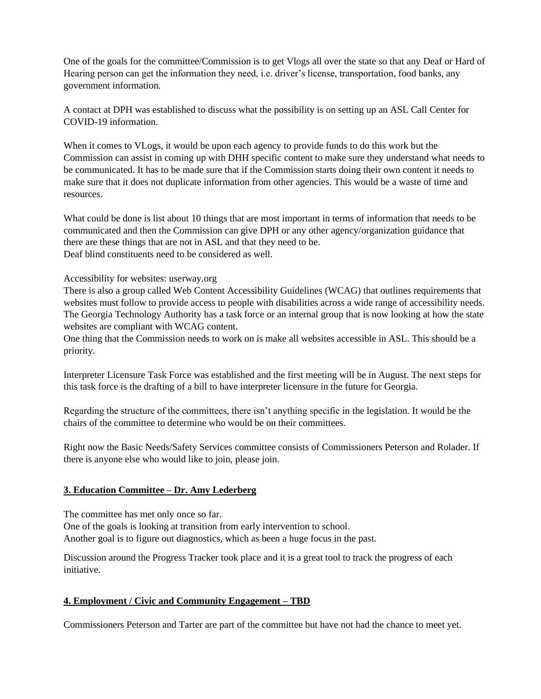One of the goals for the committee/Commission is to get Vlogs all over the state so that any Deaf or Hard of Hearing person can get the information they need, i.e. driver's license, transportation, food banks, any government information.

A contact at DPH was established to discuss what the possibility is on setting up an ASL Call Center for COVID-19 information.

When it comes to VLogs, it would be upon each agency to provide funds to do this work but the Commission can assist in coming up with DHH specific content to make sure they understand what needs to be communicated. It has to be made sure that if the Commission starts doing their own content it needs to make sure that it does not duplicate information from other agencies. This would be a waste of time and resources.

What could be done is list about 10 things that are most important in terms of information that needs to be communicated and then the Commission can give DPH or any other agency/organization guidance that there are these things that are not in ASL and that they need to be. Deaf blind constituents need to be considered as well.

### Accessibility for websites: userway.org

There is also a group called Web Content Accessibility Guidelines (WCAG) that outlines requirements that websites must follow to provide access to people with disabilities across a wide range of accessibility needs. The Georgia Technology Authority has a task force or an internal group that is now looking at how the state websites are compliant with WCAG content.

One thing that the Commission needs to work on is make all websites accessible in ASL. This should be a priority.

Interpreter Licensure Task Force was established and the first meeting will be in August. The next steps for this task force is the drafting of a bill to have interpreter licensure in the future for Georgia.

Regarding the structure of the committees, there isn't anything specific in the legislation. It would be the chairs of the committee to determine who would be on their committees.

Right now the Basic Needs/Safety Services committee consists of Commissioners Peterson and Rolader. If there is anyone else who would like to join, please join.

# **3. Education Committee – Dr. Amy Lederberg**

The committee has met only once so far. One of the goals is looking at transition from early intervention to school. Another goal is to figure out diagnostics, which as been a huge focus in the past.

Discussion around the Progress Tracker took place and it is a great tool to track the progress of each initiative.

# **4. Employment / Civic and Community Engagement – TBD**

Commissioners Peterson and Tarter are part of the committee but have not had the chance to meet yet.